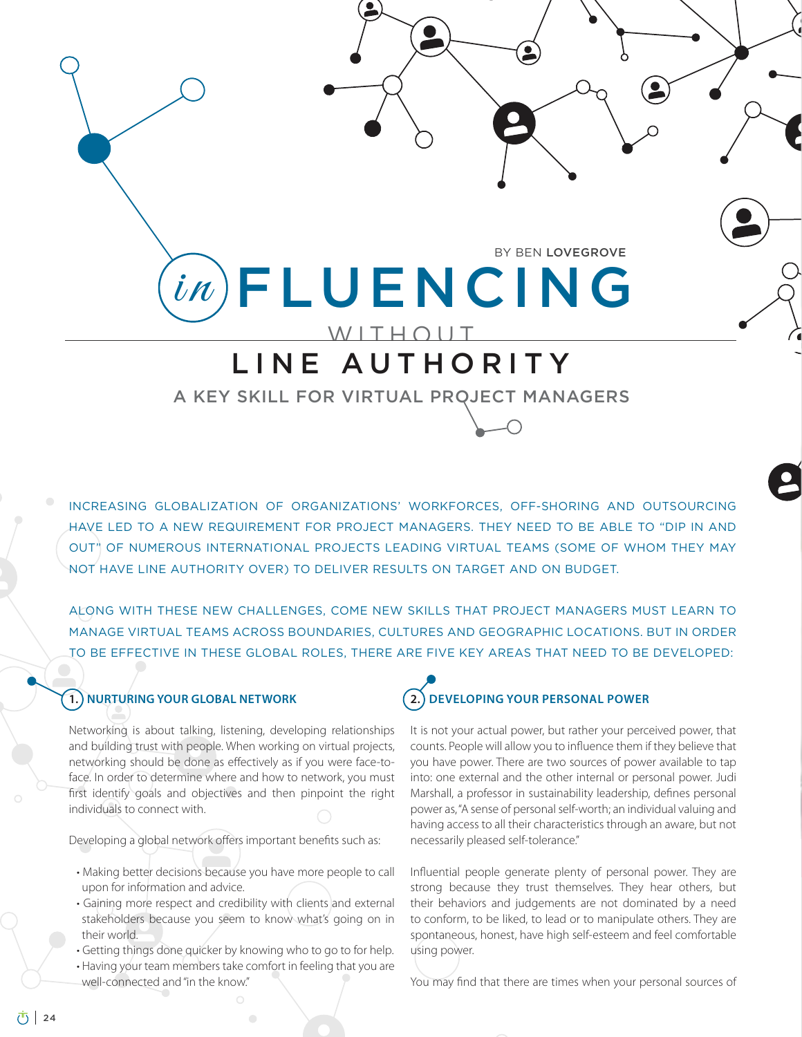WITHOUT  $\mathit{in}\$  FLUENCING BY BEN LOVEGROVE

# LINE AUTHORITY

A KEY SKILL FOR VIRTUAL PROJECT MANAGERS

INCREASING GLOBALIZATION OF ORGANIZATIONS' WORKFORCES, OFF-SHORING AND OUTSOURCING HAVE LED TO A NEW REQUIREMENT FOR PROJECT MANAGERS. THEY NEED TO BE ABLE TO "DIP IN AND OUT" OF NUMEROUS INTERNATIONAL PROJECTS LEADING VIRTUAL TEAMS (SOME OF WHOM THEY MAY NOT HAVE LINE AUTHORITY OVER) TO DELIVER RESULTS ON TARGET AND ON BUDGET.

ALONG WITH THESE NEW CHALLENGES, COME NEW SKILLS THAT PROJECT MANAGERS MUST LEARN TO MANAGE VIRTUAL TEAMS ACROSS BOUNDARIES, CULTURES AND GEOGRAPHIC LOCATIONS. BUT IN ORDER TO BE EFFECTIVE IN THESE GLOBAL ROLES, THERE ARE FIVE KEY AREAS THAT NEED TO BE DEVELOPED:

#### **1. NURTURING YOUR GLOBAL NETWORK**

Networking is about talking, listening, developing relationships and building trust with people. When working on virtual projects, networking should be done as effectively as if you were face-toface. In order to determine where and how to network, you must first identify goals and objectives and then pinpoint the right individuals to connect with.

Developing a global network offers important benefits such as:

- Making better decisions because you have more people to call upon for information and advice.
- Gaining more respect and credibility with clients and external stakeholders because you seem to know what's going on in their world.
- · Getting things done quicker by knowing who to go to for help.
- Having your team members take comfort in feeling that you are well-connected and "in the know."

## **2. DEVELOPING YOUR PERSONAL POWER**

It is not your actual power, but rather your perceived power, that counts. People will allow you to influence them if they believe that you have power. There are two sources of power available to tap into: one external and the other internal or personal power. Judi Marshall, a professor in sustainability leadership, defines personal power as, "A sense of personal self-worth; an individual valuing and having access to all their characteristics through an aware, but not necessarily pleased self-tolerance."

Influential people generate plenty of personal power. They are strong because they trust themselves. They hear others, but their behaviors and judgements are not dominated by a need to conform, to be liked, to lead or to manipulate others. They are spontaneous, honest, have high self-esteem and feel comfortable using power.

You may find that there are times when your personal sources of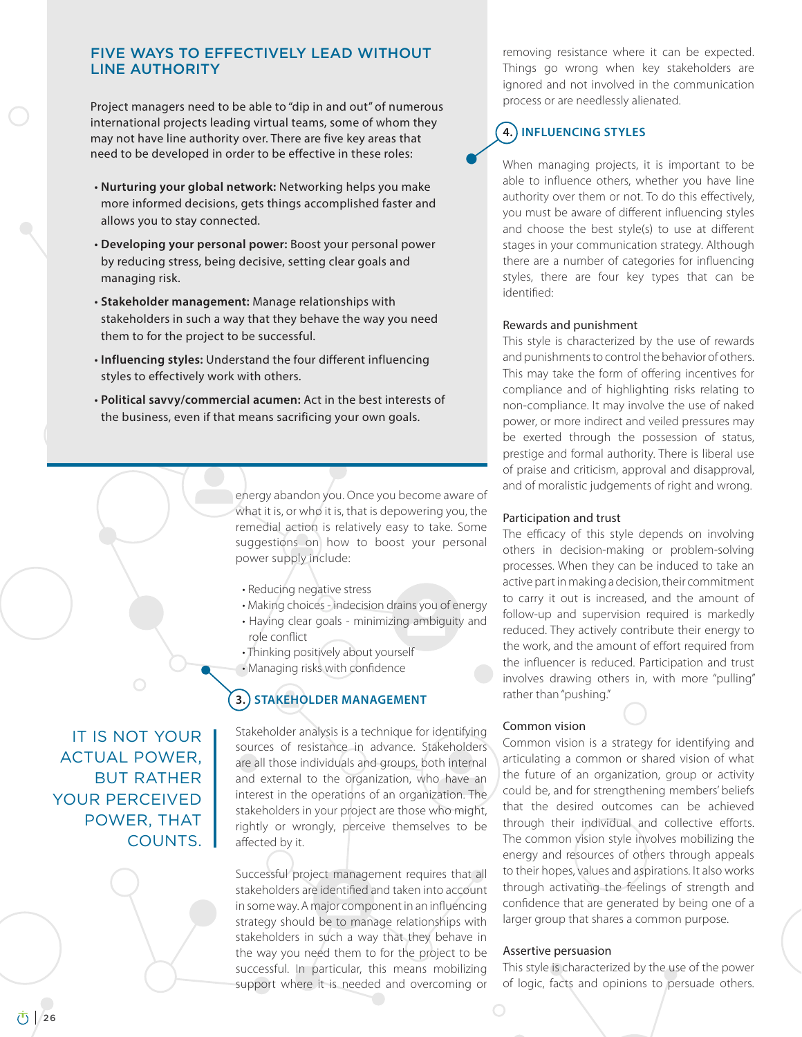#### FIVE WAYS TO EFFECTIVELY LEAD WITHOUT LINE AUTHORITY

Project managers need to be able to "dip in and out" of numerous international projects leading virtual teams, some of whom they may not have line authority over. There are five key areas that need to be developed in order to be effective in these roles:

- **· Nurturing your global network:** Networking helps you make more informed decisions, gets things accomplished faster and allows you to stay connected.
- t**Developing your personal power:** Boost your personal power by reducing stress, being decisive, setting clear goals and managing risk.
- t**Stakeholder management:** Manage relationships with stakeholders in such a way that they behave the way you need them to for the project to be successful.
- $\cdot$  Influencing styles: Understand the four different influencing styles to effectively work with others.
- t**Political savvy/commercial acumen:** Act in the best interests of the business, even if that means sacrificing your own goals.

energy abandon you. Once you become aware of what it is, or who it is, that is depowering you, the remedial action is relatively easy to take. Some suggestions on how to boost your personal power supply include:

- Reducing negative stress
- Making choices indecision drains you of energy
- Having clear goals minimizing ambiguity and role conflict
- Thinking positively about yourself
- Managing risks with confidence

#### **3.) STAKEHOLDER MANAGEMENT**

Stakeholder analysis is a technique for identifying sources of resistance in advance. Stakeholders are all those individuals and groups, both internal and external to the organization, who have an interest in the operations of an organization. The stakeholders in your project are those who might, rightly or wrongly, perceive themselves to be affected by it.

Successful project management requires that all stakeholders are identified and taken into account in some way. A major component in an influencing strategy should be to manage relationships with stakeholders in such a way that they behave in the way you need them to for the project to be successful. In particular, this means mobilizing support where it is needed and overcoming or

removing resistance where it can be expected. Things go wrong when key stakeholders are ignored and not involved in the communication process or are needlessly alienated.

### **4. INFLUENCING STYLES**

When managing projects, it is important to be able to influence others, whether you have line authority over them or not. To do this effectively, you must be aware of different influencing styles and choose the best style(s) to use at different stages in your communication strategy. Although there are a number of categories for influencing styles, there are four key types that can be identified:

#### Rewards and punishment

This style is characterized by the use of rewards and punishments to control the behavior of others. This may take the form of offering incentives for compliance and of highlighting risks relating to non-compliance. It may involve the use of naked power, or more indirect and veiled pressures may be exerted through the possession of status, prestige and formal authority. There is liberal use of praise and criticism, approval and disapproval, and of moralistic judgements of right and wrong.

#### Participation and trust

The efficacy of this style depends on involving others in decision-making or problem-solving processes. When they can be induced to take an active part in making a decision, their commitment to carry it out is increased, and the amount of follow-up and supervision required is markedly reduced. They actively contribute their energy to the work, and the amount of effort required from the influencer is reduced. Participation and trust involves drawing others in, with more "pulling" rather than "pushing."

#### Common vision

Common vision is a strategy for identifying and articulating a common or shared vision of what the future of an organization, group or activity could be, and for strengthening members' beliefs that the desired outcomes can be achieved through their individual and collective efforts. The common vision style involves mobilizing the energy and resources of others through appeals to their hopes, values and aspirations. It also works through activating the feelings of strength and confidence that are generated by being one of a larger group that shares a common purpose.

#### Assertive persuasion

This style is characterized by the use of the power of logic, facts and opinions to persuade others.

IT IS NOT YOUR ACTUAL POWER, BUT RATHER YOUR PERCEIVED POWER, THAT COUNTS.